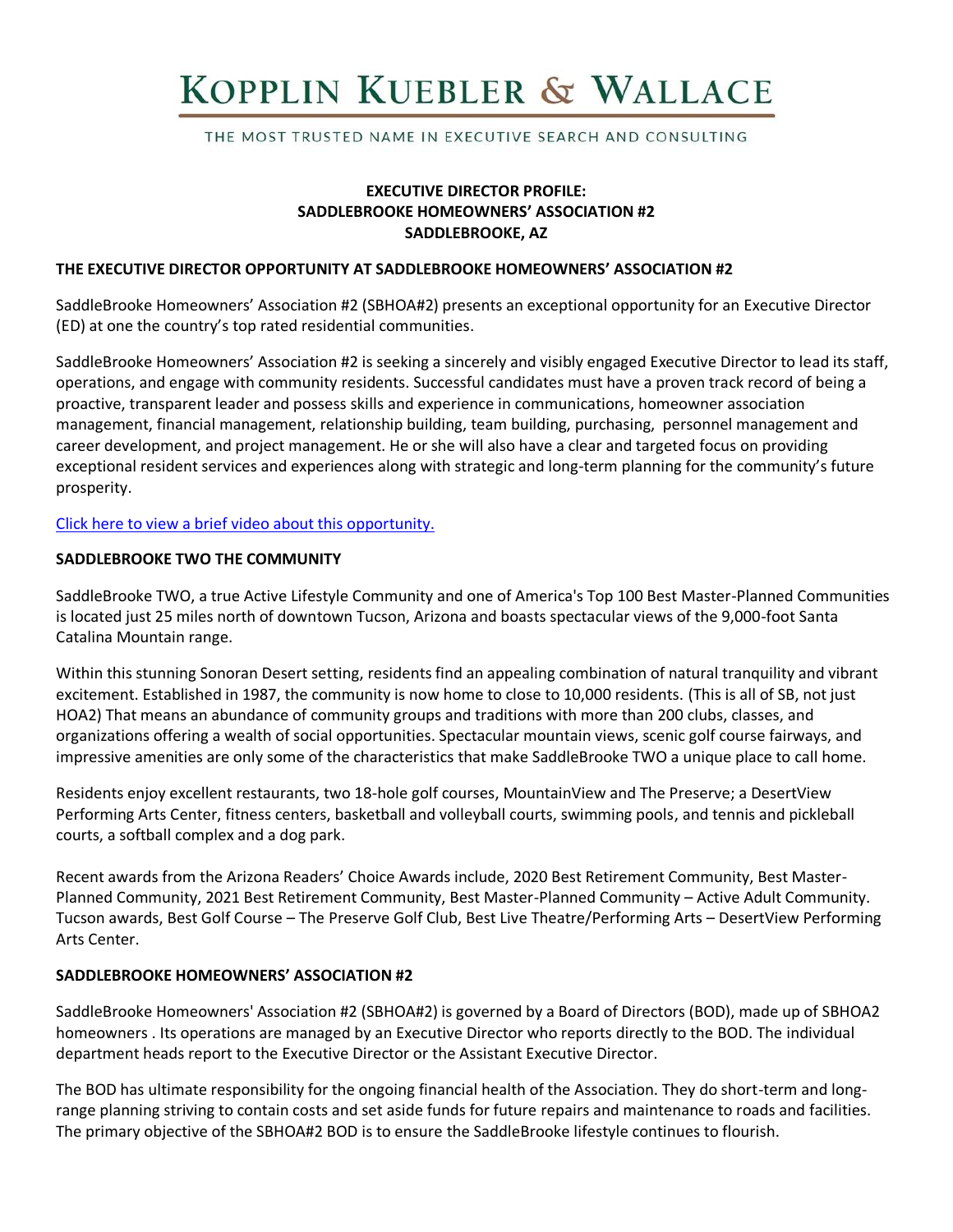# KOPPLIN KUEBLER & WALLACE

THE MOST TRUSTED NAME IN EXECUTIVE SEARCH AND CONSULTING

# **EXECUTIVE DIRECTOR PROFILE: SADDLEBROOKE HOMEOWNERS' ASSOCIATION #2 SADDLEBROOKE, AZ**

#### **THE EXECUTIVE DIRECTOR OPPORTUNITY AT SADDLEBROOKE HOMEOWNERS' ASSOCIATION #2**

SaddleBrooke Homeowners' Association #2 (SBHOA#2) presents an exceptional opportunity for an Executive Director (ED) at one the country's top rated residential communities.

SaddleBrooke Homeowners' Association #2 is seeking a sincerely and visibly engaged Executive Director to lead its staff, operations, and engage with community residents. Successful candidates must have a proven track record of being a proactive, transparent leader and possess skills and experience in communications, homeowner association management, financial management, relationship building, team building, purchasing, personnel management and career development, and project management. He or she will also have a clear and targeted focus on providing exceptional resident services and experiences along with strategic and long-term planning for the community's future prosperity.

[Click here to view a brief video about this opportunity.](https://www.youtube.com/watch?v=wxFYCyChYJY)

#### **SADDLEBROOKE TWO THE COMMUNITY**

SaddleBrooke TWO, a true Active Lifestyle Community and one of America's Top 100 Best Master-Planned Communities is located just 25 miles north of downtown Tucson, Arizona and boasts spectacular views of the 9,000-foot Santa Catalina Mountain range.

Within this stunning Sonoran Desert setting, residents find an appealing combination of natural tranquility and vibrant excitement. Established in 1987, the community is now home to close to 10,000 residents. (This is all of SB, not just HOA2) That means an abundance of community groups and traditions with more than 200 clubs, classes, and organizations offering a wealth of social opportunities. Spectacular mountain views, scenic golf course fairways, and impressive amenities are only some of the characteristics that make SaddleBrooke TWO a unique place to call home.

Residents enjoy excellent restaurants, two 18-hole golf courses, MountainView and The Preserve; a DesertView Performing Arts Center, fitness centers, basketball and volleyball courts, swimming pools, and tennis and pickleball courts, a softball complex and a dog park.

Recent awards from the Arizona Readers' Choice Awards include, 2020 Best Retirement Community, Best Master-Planned Community, 2021 Best Retirement Community, Best Master-Planned Community – Active Adult Community. Tucson awards, Best Golf Course – The Preserve Golf Club, Best Live Theatre/Performing Arts – DesertView Performing Arts Center.

# **SADDLEBROOKE HOMEOWNERS' ASSOCIATION #2**

SaddleBrooke Homeowners' Association #2 (SBHOA#2) is governed by a Board of Directors (BOD), made up of SBHOA2 homeowners . Its operations are managed by an Executive Director who reports directly to the BOD. The individual department heads report to the Executive Director or the Assistant Executive Director.

The BOD has ultimate responsibility for the ongoing financial health of the Association. They do short-term and longrange planning striving to contain costs and set aside funds for future repairs and maintenance to roads and facilities. The primary objective of the SBHOA#2 BOD is to ensure the SaddleBrooke lifestyle continues to flourish.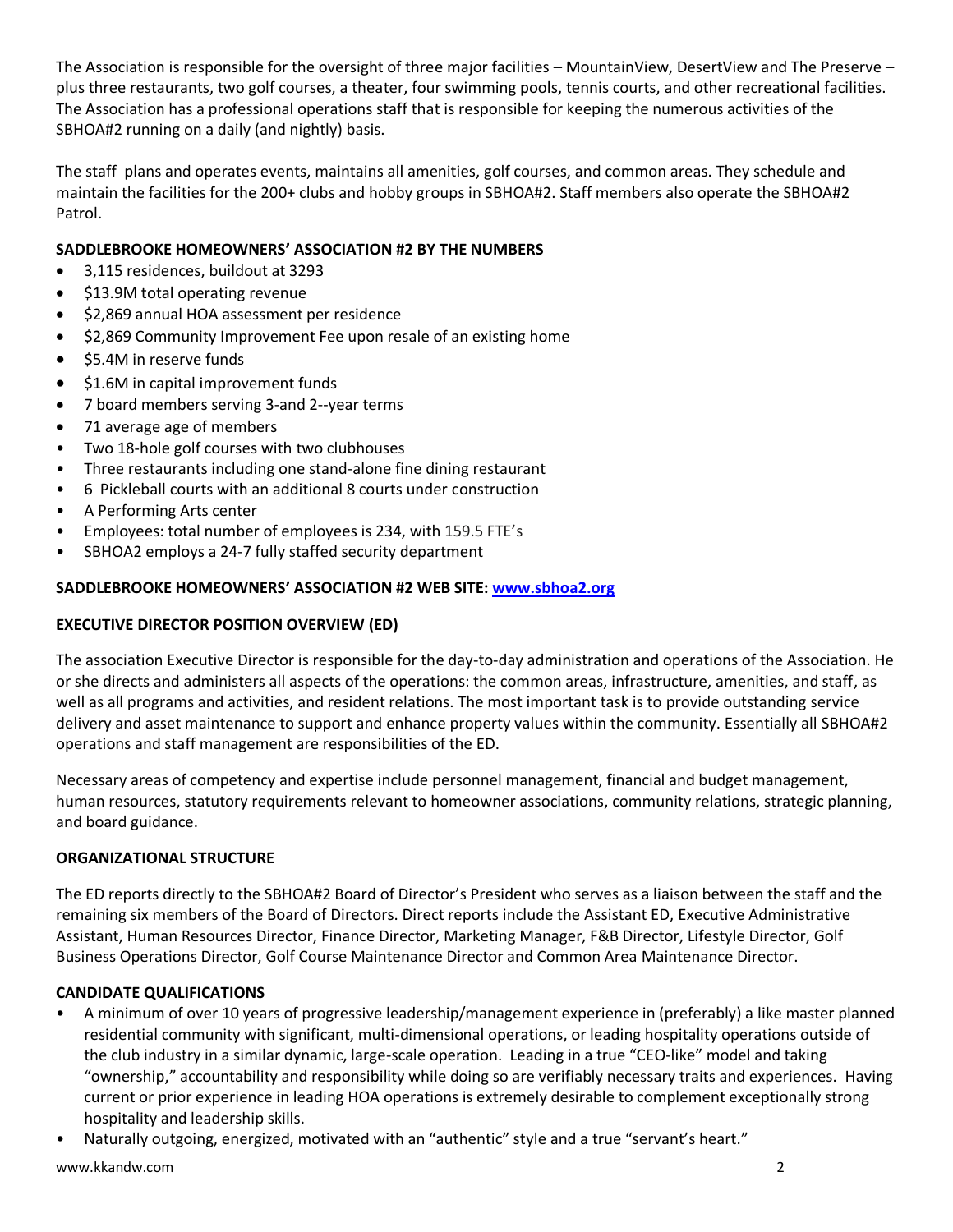The Association is responsible for the oversight of three major facilities – MountainView, DesertView and The Preserve – plus three restaurants, two golf courses, a theater, four swimming pools, tennis courts, and other recreational facilities. The Association has a professional operations staff that is responsible for keeping the numerous activities of the SBHOA#2 running on a daily (and nightly) basis.

The staff plans and operates events, maintains all amenities, golf courses, and common areas. They schedule and maintain the facilities for the 200+ clubs and hobby groups in SBHOA#2. Staff members also operate the SBHOA#2 Patrol.

# **SADDLEBROOKE HOMEOWNERS' ASSOCIATION #2 BY THE NUMBERS**

- 3,115 residences, buildout at 3293
- \$13.9M total operating revenue
- \$2,869 annual HOA assessment per residence
- \$2,869 Community Improvement Fee upon resale of an existing home
- \$5.4M in reserve funds
- \$1.6M in capital improvement funds
- 7 board members serving 3-and 2--year terms
- 71 average age of members
- Two 18-hole golf courses with two clubhouses
- Three restaurants including one stand-alone fine dining restaurant
- 6 Pickleball courts with an additional 8 courts under construction
- A Performing Arts center
- Employees: total number of employees is 234, with 159.5 FTE's
- SBHOA2 employs a 24-7 fully staffed security department

# **SADDLEBROOKE HOMEOWNERS' ASSOCIATION #2 WEB SITE: [www.sbhoa2.org](http://www.sbhoa2.org/)**

# **EXECUTIVE DIRECTOR POSITION OVERVIEW (ED)**

The association Executive Director is responsible for the day-to-day administration and operations of the Association. He or she directs and administers all aspects of the operations: the common areas, infrastructure, amenities, and staff, as well as all programs and activities, and resident relations. The most important task is to provide outstanding service delivery and asset maintenance to support and enhance property values within the community. Essentially all SBHOA#2 operations and staff management are responsibilities of the ED.

Necessary areas of competency and expertise include personnel management, financial and budget management, human resources, statutory requirements relevant to homeowner associations, community relations, strategic planning, and board guidance.

# **ORGANIZATIONAL STRUCTURE**

The ED reports directly to the SBHOA#2 Board of Director's President who serves as a liaison between the staff and the remaining six members of the Board of Directors. Direct reports include the Assistant ED, Executive Administrative Assistant, Human Resources Director, Finance Director, Marketing Manager, F&B Director, Lifestyle Director, Golf Business Operations Director, Golf Course Maintenance Director and Common Area Maintenance Director.

# **CANDIDATE QUALIFICATIONS**

- A minimum of over 10 years of progressive leadership/management experience in (preferably) a like master planned residential community with significant, multi-dimensional operations, or leading hospitality operations outside of the club industry in a similar dynamic, large-scale operation. Leading in a true "CEO-like" model and taking "ownership," accountability and responsibility while doing so are verifiably necessary traits and experiences. Having current or prior experience in leading HOA operations is extremely desirable to complement exceptionally strong hospitality and leadership skills.
- Naturally outgoing, energized, motivated with an "authentic" style and a true "servant's heart."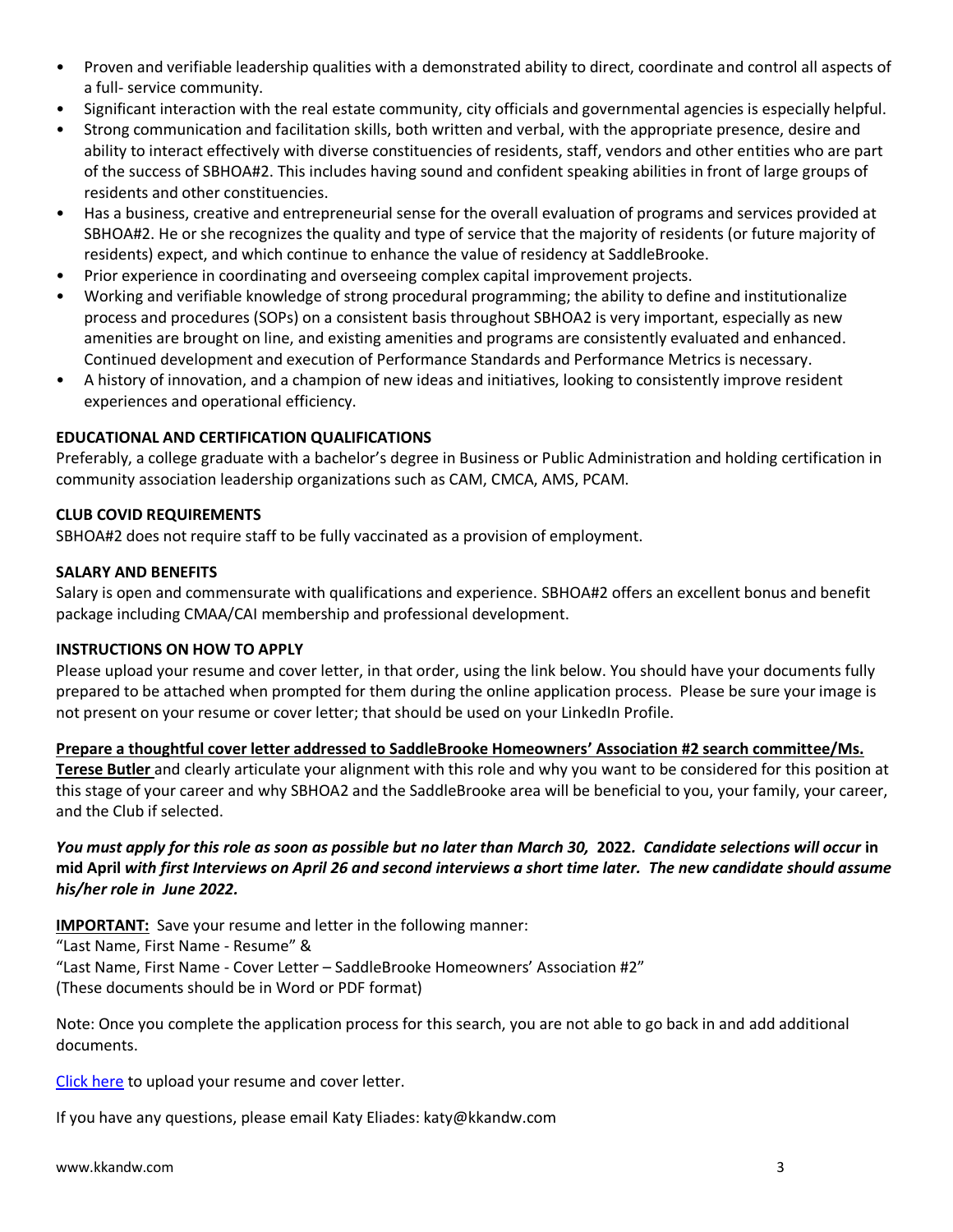- Proven and verifiable leadership qualities with a demonstrated ability to direct, coordinate and control all aspects of a full- service community.
- Significant interaction with the real estate community, city officials and governmental agencies is especially helpful.
- Strong communication and facilitation skills, both written and verbal, with the appropriate presence, desire and ability to interact effectively with diverse constituencies of residents, staff, vendors and other entities who are part of the success of SBHOA#2. This includes having sound and confident speaking abilities in front of large groups of residents and other constituencies.
- Has a business, creative and entrepreneurial sense for the overall evaluation of programs and services provided at SBHOA#2. He or she recognizes the quality and type of service that the majority of residents (or future majority of residents) expect, and which continue to enhance the value of residency at SaddleBrooke.
- Prior experience in coordinating and overseeing complex capital improvement projects.
- Working and verifiable knowledge of strong procedural programming; the ability to define and institutionalize process and procedures (SOPs) on a consistent basis throughout SBHOA2 is very important, especially as new amenities are brought on line, and existing amenities and programs are consistently evaluated and enhanced. Continued development and execution of Performance Standards and Performance Metrics is necessary.
- A history of innovation, and a champion of new ideas and initiatives, looking to consistently improve resident experiences and operational efficiency.

# **EDUCATIONAL AND CERTIFICATION QUALIFICATIONS**

Preferably, a college graduate with a bachelor's degree in Business or Public Administration and holding certification in community association leadership organizations such as CAM, CMCA, AMS, PCAM.

# **CLUB COVID REQUIREMENTS**

SBHOA#2 does not require staff to be fully vaccinated as a provision of employment.

#### **SALARY AND BENEFITS**

Salary is open and commensurate with qualifications and experience. SBHOA#2 offers an excellent bonus and benefit package including CMAA/CAI membership and professional development.

#### **INSTRUCTIONS ON HOW TO APPLY**

Please upload your resume and cover letter, in that order, using the link below. You should have your documents fully prepared to be attached when prompted for them during the online application process. Please be sure your image is not present on your resume or cover letter; that should be used on your LinkedIn Profile.

**Prepare a thoughtful cover letter addressed to SaddleBrooke Homeowners' Association #2 search committee/Ms. Terese Butler** and clearly articulate your alignment with this role and why you want to be considered for this position at this stage of your career and why SBHOA2 and the SaddleBrooke area will be beneficial to you, your family, your career,

and the Club if selected.

# *You must apply for this role as soon as possible but no later than March 30,* **2022***. Candidate selections will occur* **in mid April** *with first Interviews on April 26 and second interviews a short time later. The new candidate should assume his/her role in June 2022.*

**IMPORTANT:** Save your resume and letter in the following manner:

"Last Name, First Name - Resume" &

"Last Name, First Name - Cover Letter – SaddleBrooke Homeowners' Association #2"

(These documents should be in Word or PDF format)

Note: Once you complete the application process for this search, you are not able to go back in and add additional documents.

[Click here](https://kopplinandkuebler.secure.force.com/careers/ts2__Register?jobId=a0x6T000009y7evQAA&tSource=) to upload your resume and cover letter.

If you have any questions, please email Katy Eliades: katy@kkandw.com